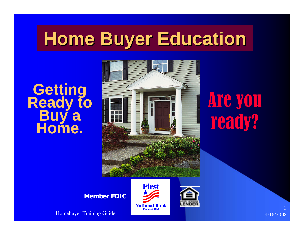# **Home Buyer Education Home Buyer Education**

# **Getting<br>Ready to<br>Buy a<br>Home.**



# Are you ready?

**Member FDIC**

Homebuyer Training Guide 4/16/2008



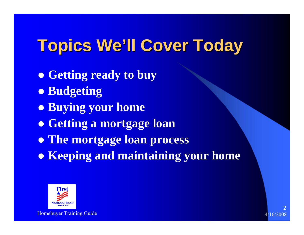# **Topics We Topics We'll Cover Today ll Cover Today**

- **Getting ready to buy**
- **Budgeting**
- **Buying your home**
- **Getting a mortgage loan**
- **The mortgage loan process**
- **Keeping and maintaining your home**



Homebuyer Training Guide 4/16/2008 and the state of the state and the state of the state 4/16/2008 and 4/16/2008 and 4/16/2008 and 4/16/2008 and 4/16/2008 and 4/16/2008 and 4/16/2008 and 4/16/2008 and 4/16/2008 and 4/16/20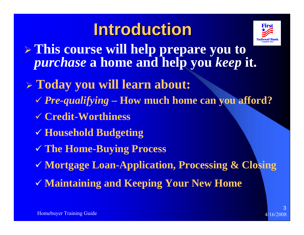# **Introduction Introduction**



- ¾ **This course will help prepare you to**  *purchase* **a home and help you** *keep* **it.**
- ¾ **Today you will learn about:**
	- 9 *Pre-qualifying* **– How much home can you afford?**
	- 9 **Credit-Worthiness**
	- 9 **Household Budgeting**
	- 9 **The Home-Buying Process**
	- 9 **Mortgage Loan-Application, Processing & Closing**
	- 9 **Maintaining and Keeping Your New Home**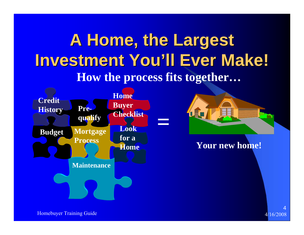# **A Home, the Largest Investment You Investment You'll Ever Make! ll Ever Make! How the process fits together…**





**Your new home!**

Homebuyer Training Guide 4/16/2008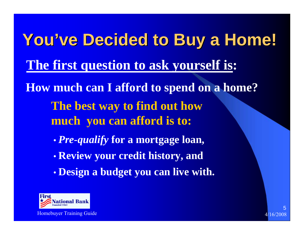**You've Decided to Buy a Home! The first question to ask yourself is: How much can I afford to spend on a home? The best way to find out how much you can afford is to:**  $\bullet$ *Pre-qualify* **for a mortgage loan,**

- $\bullet$ **Review your credit history, and**
- $\bullet$ **Design a budget you can live with.**



Homebuyer Training Guide 4/16/2008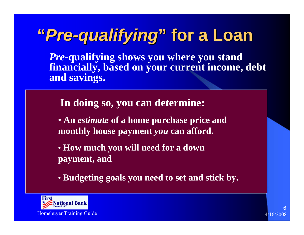# **"***Pre-qualifying qualifying***"for a Loan for a Loan**

*Pre-***qualifying shows you where you stand financially, based on your current income, debt and savings.** 

**In doing so, you can determine:**

- **An** *estimate* **of a home purchase price and monthly house payment** *you* **can afford.**
- **How much you will need for a down payment, and**
- **Budgeting goals you need to set and stick by.**

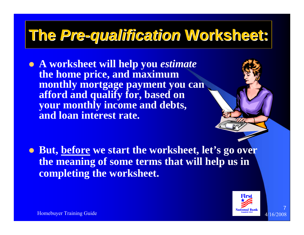# **The** *Pre-qualification qualification* **Worksheet: Worksheet:**

z **A worksheet will help you** *estimate*  **the home price, and maximum monthly mortgage payment you can afford and qualify for, based on your monthly income and debts, and loan interest rate.**

**• But, before we start the worksheet, let's go over the meaning of some terms that will help us in completing the worksheet.**

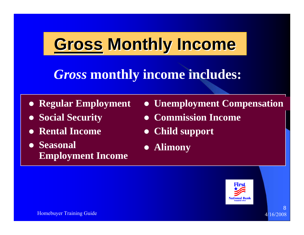# **Gross Monthly Income**

## *Gross* **monthly income includes:**

- **Regular Employment**
- **Social Security**
- **Rental Income**
- $\bullet$  Seasonal **Employment Income**
- **Unemployment Compensation**
- $\bullet$ **Commission Income**
- $\bullet$ **Child support**
- z **Alimony**

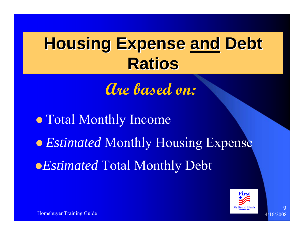# **Housing Expense and Debt Ratios**

**Are based on:**

**• Estimated Monthly Housing Expense** • Total Monthly Income **•** *Estimated* Total Monthly Debt



9

Homebuyer Training Guide 4/16/2008 and the state of the state and the state of the state 4/16/2008 and 4/16/2008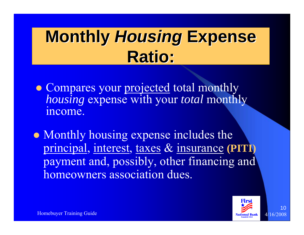# **Monthly Housing Expense Ratio:**

- Compares your projected total monthly *housing* expense with your *total* monthly income.
- Monthly housing expense includes the principal, interest, taxes & insurance **(PITI)** payment and, possibly, other financing and homeowners association dues.

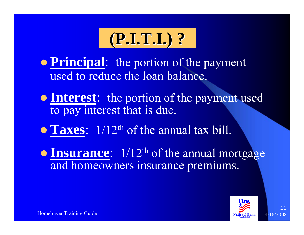# **(P.I.T.I.) ? (P.I.T.I.) ?**

**• Principal:** the portion of the payment used to reduce the loan balance.

**• Interest:** the portion of the payment used to pay interest that is due.

**• Taxes:**  $1/12$ <sup>th</sup> of the annual tax bill.

**• Insurance**:  $1/12^{\text{th}}$  of the annual mortgage and homeowners insurance premiums.

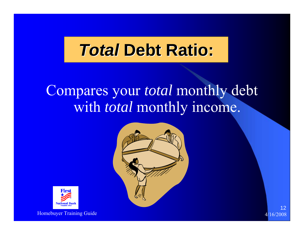# **TotalDebt Ratio:**

## Compares your *total* monthly debt with *total* monthly income.





Homebuyer Training Guide **4/16/2008** and the state of the state of the state of the state  $4/16/200$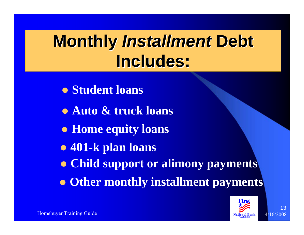# **Monthly Installment Debt Includes: Includes:**

- $\bullet$  **Student loans**
- **Auto & truck loans**
- **Home equity loans**
- z **401-k plan loans**
- **Child support or alimony payments**
- **Other monthly installment payments**

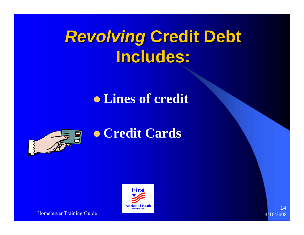# **Revolving Credit Debt Includes: Includes:**

## **• Lines of credit**



## **• Credit Cards**



Homebuyer Training Guide 4/16/2008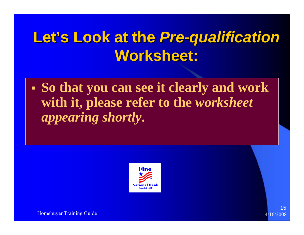# Let's Look at the Pre-qualification **Worksheet: Worksheet:**

 **So that you can see it clearly and work with it, please refer to the** *worksheet appearing shortly***.**



Homebuyer Training Guide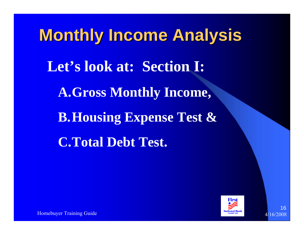**Monthly Income Analysis Monthly Income Analysis Let's look at: Section I: A.Gross Monthly Income, B.Housing Expense Test & C.Total Debt Test.**



16

Homebuyer Training Guide 416. The contract of the contract of the contract of the contract of the contract of the contract of the contract of the contract of the contract of the contract of the contract of the contract of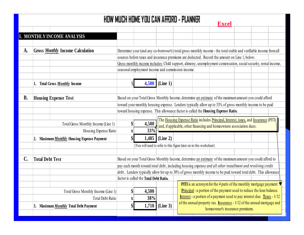## **HOW MUCH HOME YOU CAN AFFORD - PLANNER**

**Excel**

|             |                                     |                                            |                                                                                                                                                                                                                                |                                                                                                                                                                      |          |                                                                                    |                                                                          | <b>LANCO</b>                                                                                              |  |  |  |  |
|-------------|-------------------------------------|--------------------------------------------|--------------------------------------------------------------------------------------------------------------------------------------------------------------------------------------------------------------------------------|----------------------------------------------------------------------------------------------------------------------------------------------------------------------|----------|------------------------------------------------------------------------------------|--------------------------------------------------------------------------|-----------------------------------------------------------------------------------------------------------|--|--|--|--|
|             |                                     |                                            |                                                                                                                                                                                                                                |                                                                                                                                                                      |          |                                                                                    |                                                                          |                                                                                                           |  |  |  |  |
|             |                                     | I. MONTHLY INCOME ANALYSIS                 |                                                                                                                                                                                                                                |                                                                                                                                                                      |          |                                                                                    |                                                                          |                                                                                                           |  |  |  |  |
|             |                                     |                                            |                                                                                                                                                                                                                                |                                                                                                                                                                      |          |                                                                                    |                                                                          |                                                                                                           |  |  |  |  |
| A.          |                                     | <b>Gross Monthly Income Calculation</b>    |                                                                                                                                                                                                                                |                                                                                                                                                                      |          |                                                                                    |                                                                          |                                                                                                           |  |  |  |  |
|             |                                     |                                            | Determine your (and any co-borrower's) total gross monthly income - the total stable and verifiable income from all<br>sources before taxes and insurance premiums are deducted. Record the amount on Line 1, below.           |                                                                                                                                                                      |          |                                                                                    |                                                                          |                                                                                                           |  |  |  |  |
|             |                                     |                                            | Gross monthly income includes: Child support, alimony, unemployment comensation, social security, rental income,                                                                                                               |                                                                                                                                                                      |          |                                                                                    |                                                                          |                                                                                                           |  |  |  |  |
|             |                                     |                                            | seasonal employment income and commission income.                                                                                                                                                                              |                                                                                                                                                                      |          |                                                                                    |                                                                          |                                                                                                           |  |  |  |  |
|             |                                     |                                            |                                                                                                                                                                                                                                |                                                                                                                                                                      |          |                                                                                    |                                                                          |                                                                                                           |  |  |  |  |
|             |                                     |                                            |                                                                                                                                                                                                                                |                                                                                                                                                                      |          |                                                                                    |                                                                          |                                                                                                           |  |  |  |  |
|             |                                     | 1. Total Gross <b>Monthly</b> Income       |                                                                                                                                                                                                                                | 4,500                                                                                                                                                                | (Line 1) |                                                                                    |                                                                          |                                                                                                           |  |  |  |  |
|             |                                     |                                            |                                                                                                                                                                                                                                |                                                                                                                                                                      |          |                                                                                    |                                                                          |                                                                                                           |  |  |  |  |
| <b>B.</b>   |                                     | <b>Housing Expense Test</b>                | Based on your Total Gross Monthly Income, determine an estimate of the maximum amount you could afford                                                                                                                         |                                                                                                                                                                      |          |                                                                                    |                                                                          |                                                                                                           |  |  |  |  |
|             |                                     |                                            |                                                                                                                                                                                                                                | toward your monthly housing expense. Lenders typically allow up to 33% of gross monthly income to be paid                                                            |          |                                                                                    |                                                                          |                                                                                                           |  |  |  |  |
|             |                                     |                                            |                                                                                                                                                                                                                                |                                                                                                                                                                      |          | toward housing expense. This allowance factor is called the Housing Expense Ratio. |                                                                          |                                                                                                           |  |  |  |  |
|             |                                     |                                            |                                                                                                                                                                                                                                |                                                                                                                                                                      |          |                                                                                    |                                                                          |                                                                                                           |  |  |  |  |
|             |                                     | Total Gross Monthly Income (Line 1)        | $\boldsymbol{\$\}$                                                                                                                                                                                                             | The Housing Expense Ratio includes Principal, Interest, taxes, and Insurance (PITI)<br>4,500<br>and, if applicable, other financing and homeowners association dues. |          |                                                                                    |                                                                          |                                                                                                           |  |  |  |  |
|             |                                     | Housing Expense Ratio                      | 33%<br>X                                                                                                                                                                                                                       |                                                                                                                                                                      |          |                                                                                    |                                                                          |                                                                                                           |  |  |  |  |
|             |                                     | 2. Maximum Monthly Housing Expense Payment |                                                                                                                                                                                                                                | 1,485                                                                                                                                                                | (Line 2) |                                                                                    |                                                                          |                                                                                                           |  |  |  |  |
|             |                                     |                                            |                                                                                                                                                                                                                                | (You will need to refer to this figure later on in this worksheet)                                                                                                   |          |                                                                                    |                                                                          |                                                                                                           |  |  |  |  |
|             |                                     |                                            |                                                                                                                                                                                                                                |                                                                                                                                                                      |          |                                                                                    |                                                                          |                                                                                                           |  |  |  |  |
| $C_{\cdot}$ | <b>Total Debt Test</b>              |                                            |                                                                                                                                                                                                                                |                                                                                                                                                                      |          |                                                                                    |                                                                          | Based on your Total Gross Monthly Income, determine an estimate of the maximum amount you could afford to |  |  |  |  |
|             |                                     |                                            |                                                                                                                                                                                                                                |                                                                                                                                                                      |          |                                                                                    |                                                                          |                                                                                                           |  |  |  |  |
|             |                                     |                                            | pay each month toward total debt, including housing expense and all other installment and revolving credit<br>debt. Lenders typically allow for up to 38% of gross monthly income to be paid toward total debt. This allowance |                                                                                                                                                                      |          |                                                                                    |                                                                          |                                                                                                           |  |  |  |  |
|             |                                     |                                            |                                                                                                                                                                                                                                | factor is called the Total Debt Ratio.                                                                                                                               |          |                                                                                    |                                                                          |                                                                                                           |  |  |  |  |
|             |                                     |                                            |                                                                                                                                                                                                                                |                                                                                                                                                                      |          |                                                                                    |                                                                          | <b>PITI</b> is an acronym for the 4 parts of the monthly mortgage payment: $\blacktriangledown$           |  |  |  |  |
|             | Total Gross Monthly Income (Line 1) |                                            |                                                                                                                                                                                                                                | 4,500                                                                                                                                                                |          |                                                                                    | Principal - a portion of the payment used to reduce the loan balance.    |                                                                                                           |  |  |  |  |
|             | <b>Total Debt Ratio</b>             |                                            | X                                                                                                                                                                                                                              | 38%                                                                                                                                                                  |          |                                                                                    | Interest - a portion of a payment used to pay interest due. Taxes - 1/12 |                                                                                                           |  |  |  |  |
|             |                                     |                                            |                                                                                                                                                                                                                                |                                                                                                                                                                      |          |                                                                                    | of the annual property tax. Insurance - 1/12 of the annual mortgage and  |                                                                                                           |  |  |  |  |
|             |                                     | 3. Maximum Monthly Total Debt Payment      |                                                                                                                                                                                                                                | 1,710                                                                                                                                                                | (Line 3) | homeowner's insurance premiums.                                                    |                                                                          |                                                                                                           |  |  |  |  |
|             |                                     |                                            |                                                                                                                                                                                                                                |                                                                                                                                                                      |          |                                                                                    |                                                                          |                                                                                                           |  |  |  |  |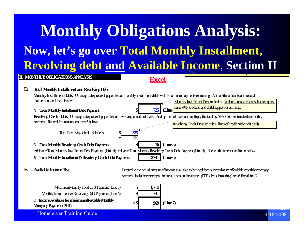## **D.Monthly Installment Debts.** On a separate piece of paper, list all monthly installment debts with 10 or more payments remaining. Add up the amounts and record that amount on Line 4 below.*<b>725* **(Line Revolving Credit Debts.** On a separate piece of paper, list all revolving credit balances. Add up the balances and multiply the total by 5% (.05) to estimate the monthly payment. Record that amount on Line 5 below. **325 x 5%\$ 16 (Line 5)** Add your Total Monthly Installment Debt Payments (Line 4) and your Total Monthly Revolving Credit Debt Payment (Line 5). Record the amount on line 6 below. **6. Total Monthly Installment & Revolving Credit Debt Payments \$741 (Line 6) 4. Total Monthly Installment Debt Payment** Total Revolving Credit Balances **\$ 5. Total Monthly Revolving Credit Debt Payments II. MONTHLY OBLIGATIONS ANALYSISTotal Monthly Installment and Revolving Debt** Monthly Installment Debt includes: student loans, car loans, home equity loans, 401(k) loans, and child support or alimony. Revolving Credit Debt includes: lines of credit and credit cards. o eow e s su cep e <sup>u</sup> s. **Monthly Obligations Analysis: Now, let's go over Total Monthly Installment, Revolving debt and Available Income**, **Section II Excel**

#### **E.Available Income Test.**

 Determine the actual amount of income available to be used for your maximum affordable monthly mortgage payment, including principal, interest, taxes and insurance (PITI), by subtracting Line 6 from Line 3.

Monthly Installment & Revolving Debt Payments (Line 6) **7. Income Available for maximum affordable Monthly Mortgage Payment (PITI)**

Maximum Monthly Total Debt Payment (Line 3)

$$
\begin{array}{r|l}\n\text{\$} & 1,710 \\
-\text{\$} & 741 \\
=\text{\$} & \text{\text{969}} \\
\end{array}
$$
 (Line 7)

Homebuyer Training Guide **4/16/2008** and the state of the state of the state of the state  $4/16/2008$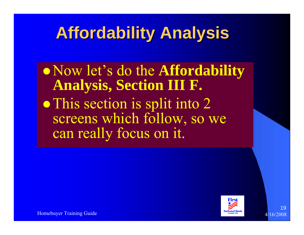# **Affordability Analysis Affordability Analysis**

z Now let's do the **Affordability Analysis, Section III F.** • This section is split into 2 screens which follow, so we can really focus on it.



Homebuyer Training Guide 4186 and 186 and 186 and 186 and 186 and 186 and 186 and 186 and 186 and 186 and 186 and 186 and 186 and 186 and 186 and 186 and 186 and 186 and 186 and 186 and 186 and 186 and 186 and 186 and 186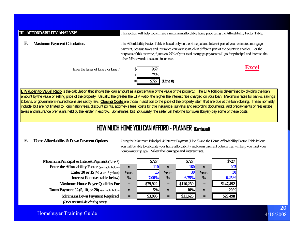#### This section will help you etimate a maximum affordable home price using the Affordability Factor Table. **F.** The Affordability Factor Table is based only on the Principal and Interest part of your estimated mortgage **Maximum Payment Calculation. III. AFFORDABILITY ANALYSIS**

payment, because taxes and insurance can vary so much in different part of the county to another. For the purposes of this estimate, figure on 75% of your total mortgage payment will go for principal and interest; the other 25% towards taxes and insurance.

Enter the lesser of Line 2 or Line 7





**LTV (Loan to Value) Ratio** is the calculation that shows the loan amount as a percentage of the value of the property. The **LTV Ratio** is determined by dividing the loan amount by the value or selling price of the property. Usually, the greater the LTV Ratio, the higher the interest rate charged on your loan. Maximum rates for banks, savings & loans, or government-insured loans are set by law. **Closing Costs** are those in addition to the price of the property istelf, that are due at the loan closing. These normally include, but are not limited to: origination fees, discount points, attorney's fees, costs for title insurance, surveys and recording documents, and prepayments of real estate taxes and insurance premiums held by the lender in escrow. Sometimes, but not usually, the seller will help the borrower (buyer) pay some of these costs.

**x**

**Years**

**%**

## **HOW MUCH HOME YOU CAN AFFORD - PLANNER (Continued)**

#### **F.Home Affordability & Down Payment Options.**

 Using the Maximum Principal & Interest Payment (Line 8) and the Home Affordability Factor Table below, you will be able to calculate your home affordability and down payment options that will help you meet your homeownership goal. **Select the loan type and interest rate.**

| <b>Maximum Principal &amp; Interest Payment (Line 8)</b> |   |
|----------------------------------------------------------|---|
| <b>Enter the Affordability Factor (see table below)</b>  |   |
| <b>Enter 30 or 15</b> (30 yr or 15 yr loan)              | Y |
| <b>Interest Rate (see table below)</b>                   |   |
| <b>Maximum House Buyer Qualifies For</b>                 |   |
| <b>Down Payment</b> $\%$ (5, 10, or 20) -see table below |   |
| <b>Minimum Down Payment Required</b>                     |   |

*(Does not include closing costs)*

**\$727 \$727 \$727 110 <sup>x</sup> 160 <sup>x</sup> 203 15 Years 30 Years 30 7.00% % 6.75% % 6.25% <sup>=</sup> \$79,922 <sup>=</sup> \$116,250 <sup>=</sup> \$147,492 <sup>x</sup> 5% <sup>x</sup> 10% <sup>x</sup> 20%<sup>=</sup> \$3,996 <sup>=</sup> \$11,625 <sup>=</sup> \$29,498**

## Homebuyer Training Guide **4/16/2008** and the state of the state of the state of the state  $\frac{4}{16/2008}$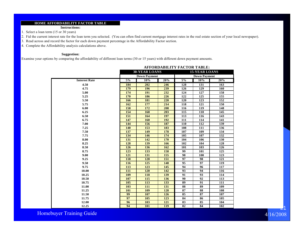#### **HOME AFFORDABILITY FACTOR TABLE**

**Instructions:**

1. Select a loan term (15 or 30 years)

- 2. Fid the current interest rate for the loan term you selected. (You can often find current mortgage interest rates in the real estate section of your local newspaper).
- 3. Read across and record the factor for each down payment percentage in the Affordability Factor section.
- 4. Complete the Affordability analysis calculations above.

### **Suggestion:**

Examine your options by comparing the affordability of different loan terms (30 or 15 years) with different down payment amounts.

|                      |       | <b>30-YEAR LOANS</b> |     | <b>15-YEAR LOANS</b> |                     |                   |  |  |
|----------------------|-------|----------------------|-----|----------------------|---------------------|-------------------|--|--|
|                      |       | <b>Down Payment</b>  |     |                      | <b>Down Payment</b> |                   |  |  |
| <b>Interest Rate</b> | $5\%$ | 10%                  | 20% | 5%                   | 10%                 | $\overline{20}\%$ |  |  |
| 4.50                 | 184   | 202                  | 246 | 128                  | 131                 | 163               |  |  |
| 4.75                 | 179   | 196                  | 239 | 126                  | 129                 | 160               |  |  |
| 5.00                 | 174   | 191                  | 232 | 124                  | 127                 | 158               |  |  |
| 5.25                 | 170   | 186                  | 226 | 122                  | 125                 | 155               |  |  |
| 5.50                 | 166   | 181                  | 220 | 120                  | 123                 | 152               |  |  |
| 5.75                 | 162   | 177                  | 214 | 118                  | 121                 | 150               |  |  |
| 6.00                 | 158   | 172                  | 208 | 116                  | 119                 | 148               |  |  |
| 6.25                 | 154   | 168                  | 203 | 115                  | 118                 | 145               |  |  |
| 6.50                 | 151   | 164                  | 197 | 113                  | 116                 | 143               |  |  |
| 6.75                 | 147   | 160                  | 192 | 111                  | 114                 | 141               |  |  |
| 7.00                 | 144   | 156                  | 187 | 110                  | 112                 | 139               |  |  |
| 7.25                 | 140   | 153                  | 183 | 108                  | 111                 | 136               |  |  |
| 7.50                 | 137   | 149                  | 178 | 107                  | 109                 | 134               |  |  |
| 7.75                 | 134   | 146                  | 174 | 105                  | 107                 | 132               |  |  |
| 8.00                 | 131   | 142                  | 170 | 104                  | 106                 | 130               |  |  |
| 8.25                 | 128   | 139                  | 166 | 102                  | 104                 | 128               |  |  |
| 8.50                 | 126   | 136                  | 162 | 101                  | 103                 | 126               |  |  |
| 8.75                 | 123   | 133                  | 158 | 99                   | 101                 | 125               |  |  |
| 9.00                 | 121   | 131                  | 155 | 98                   | 100                 | 123               |  |  |
| 9.25                 | 118   | 128                  | 151 | 97                   | 98                  | 121               |  |  |
| 9.50                 | 116   | 125                  | 148 | 95                   | 97                  | 119               |  |  |
| 9.75                 | 113   | 123                  | 145 | 94                   | 96                  | 117               |  |  |
| 10.00                | 111   | 120                  | 142 | 93                   | 94                  | $\overline{116}$  |  |  |
| 10.25                | 109   | 118                  | 139 | 91                   | 93                  | 114               |  |  |
| 10.50                | 107   | 115                  | 136 | 90                   | 92                  | 113               |  |  |
| 10.75                | 105   | 113                  | 133 | 89                   | 91                  | 111               |  |  |
| 11.00                | 103   | 111                  | 131 | 88                   | 89                  | 109               |  |  |
| 11.25                | 101   | 109                  | 128 | 87                   | 88                  | 108               |  |  |
| 11.50                | 99    | 107                  | 126 | 85                   | 87                  | 107               |  |  |
| 11.75                | 97    | 105                  | 123 | 84                   | 86                  | 105               |  |  |
| 12.00                | 96    | 103                  | 121 | 83                   | 85                  | 104               |  |  |
| 12.25                | 94    | 101                  | 119 | 82                   | 84                  | 102               |  |  |

#### **AFFORDABILITY FACTOR TABLE:**

4/16/2008

21

Homebuyer Training Guide